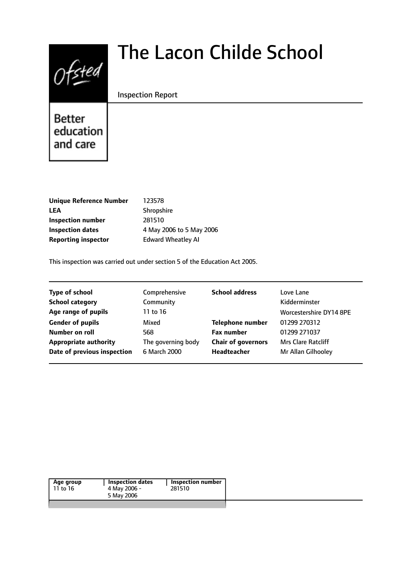# $0$ fsted

# The Lacon Childe School

#### Inspection Report

# **Better** education and care

| <b>Unique Reference Number</b> | 123578                    |
|--------------------------------|---------------------------|
| <b>LEA</b>                     | Shropshire                |
| Inspection number              | 281510                    |
| Inspection dates               | 4 May 2006 to 5 May 2006  |
| <b>Reporting inspector</b>     | <b>Edward Wheatley AI</b> |
|                                |                           |

This inspection was carried out under section 5 of the Education Act 2005.

| <b>Type of school</b>        | Comprehensive      | <b>School address</b>     | Love Lane                 |
|------------------------------|--------------------|---------------------------|---------------------------|
| <b>School category</b>       | Community          |                           | Kidderminster             |
| Age range of pupils          | 11 to 16           |                           | Worcestershire DY14 8PE   |
| <b>Gender of pupils</b>      | Mixed              | <b>Telephone number</b>   | 01299 270312              |
| Number on roll               | 568                | <b>Fax number</b>         | 01299 271037              |
| <b>Appropriate authority</b> | The governing body | <b>Chair of governors</b> | <b>Mrs Clare Ratcliff</b> |
| Date of previous inspection  | 6 March 2000       | Headteacher               | Mr Allan Gilhooley        |
|                              |                    |                           |                           |

| Inspection number | Inspection dates | Age group |
|-------------------|------------------|-----------|
| 281510            | 4 May 2006 -     | 11 to 16  |
|                   | 5 May 2006       |           |
|                   |                  |           |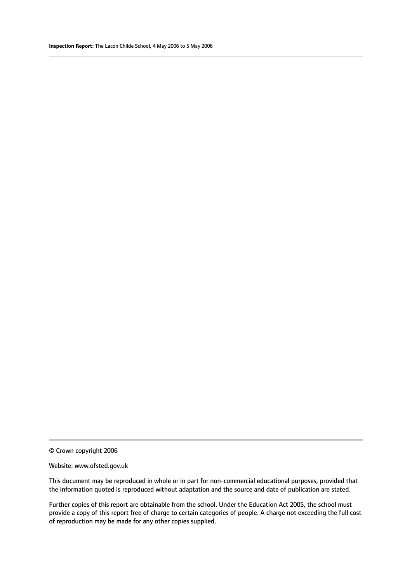© Crown copyright 2006

#### Website: www.ofsted.gov.uk

This document may be reproduced in whole or in part for non-commercial educational purposes, provided that the information quoted is reproduced without adaptation and the source and date of publication are stated.

Further copies of this report are obtainable from the school. Under the Education Act 2005, the school must provide a copy of this report free of charge to certain categories of people. A charge not exceeding the full cost of reproduction may be made for any other copies supplied.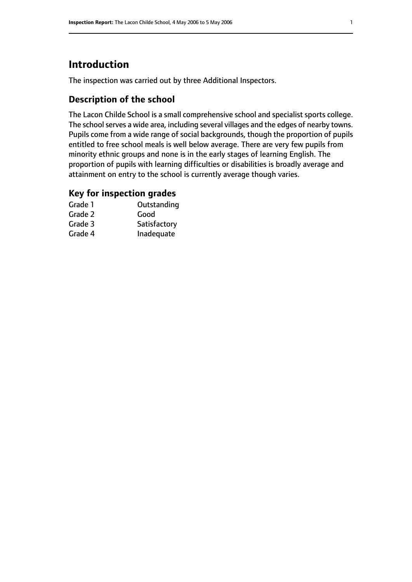# **Introduction**

The inspection was carried out by three Additional Inspectors.

#### **Description of the school**

The Lacon Childe School is a small comprehensive school and specialist sports college. The school serves a wide area, including several villages and the edges of nearby towns. Pupils come from a wide range of social backgrounds, though the proportion of pupils entitled to free school meals is well below average. There are very few pupils from minority ethnic groups and none is in the early stages of learning English. The proportion of pupils with learning difficulties or disabilities is broadly average and attainment on entry to the school is currently average though varies.

#### **Key for inspection grades**

| Grade 1 | Outstanding  |
|---------|--------------|
| Grade 2 | Good         |
| Grade 3 | Satisfactory |
| Grade 4 | Inadequate   |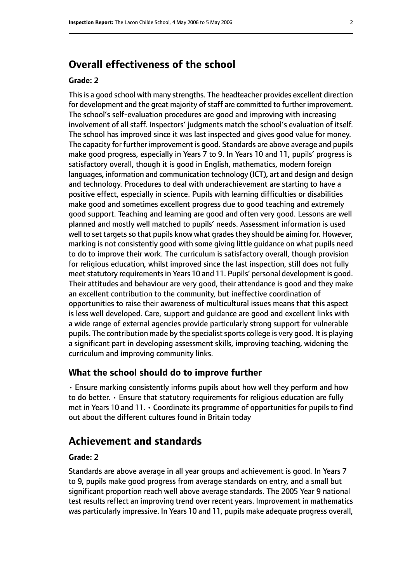### **Overall effectiveness of the school**

#### **Grade: 2**

This is a good school with many strengths. The headteacher provides excellent direction for development and the great majority of staff are committed to further improvement. The school's self-evaluation procedures are good and improving with increasing involvement of all staff. Inspectors' judgments match the school's evaluation of itself. The school has improved since it was last inspected and gives good value for money. The capacity for further improvement is good. Standards are above average and pupils make good progress, especially in Years 7 to 9. In Years 10 and 11, pupils' progress is satisfactory overall, though it is good in English, mathematics, modern foreign languages, information and communication technology (ICT), art and design and design and technology. Procedures to deal with underachievement are starting to have a positive effect, especially in science. Pupils with learning difficulties or disabilities make good and sometimes excellent progress due to good teaching and extremely good support. Teaching and learning are good and often very good. Lessons are well planned and mostly well matched to pupils' needs. Assessment information is used well to set targets so that pupils know what grades they should be aiming for. However, marking is not consistently good with some giving little guidance on what pupils need to do to improve their work. The curriculum is satisfactory overall, though provision for religious education, whilst improved since the last inspection, still does not fully meet statutory requirements in Years 10 and 11. Pupils' personal development is good. Their attitudes and behaviour are very good, their attendance is good and they make an excellent contribution to the community, but ineffective coordination of opportunities to raise their awareness of multicultural issues means that this aspect is less well developed. Care, support and guidance are good and excellent links with a wide range of external agencies provide particularly strong support for vulnerable pupils. The contribution made by the specialist sports college is very good. It is playing a significant part in developing assessment skills, improving teaching, widening the curriculum and improving community links.

#### **What the school should do to improve further**

• Ensure marking consistently informs pupils about how well they perform and how to do better. • Ensure that statutory requirements for religious education are fully met in Years 10 and 11. • Coordinate its programme of opportunities for pupils to find out about the different cultures found in Britain today

#### **Achievement and standards**

#### **Grade: 2**

Standards are above average in all year groups and achievement is good. In Years 7 to 9, pupils make good progress from average standards on entry, and a small but significant proportion reach well above average standards. The 2005 Year 9 national test results reflect an improving trend over recent years. Improvement in mathematics was particularly impressive. In Years 10 and 11, pupils make adequate progress overall,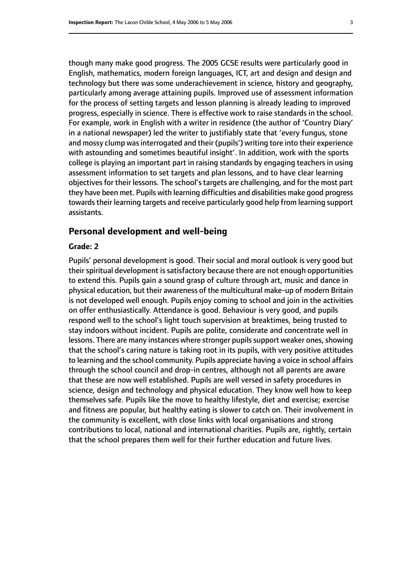though many make good progress. The 2005 GCSE results were particularly good in English, mathematics, modern foreign languages, ICT, art and design and design and technology but there was some underachievement in science, history and geography, particularly among average attaining pupils. Improved use of assessment information for the process of setting targets and lesson planning is already leading to improved progress, especially in science. There is effective work to raise standards in the school. For example, work in English with a writer in residence (the author of 'Country Diary' in a national newspaper) led the writer to justifiably state that 'every fungus, stone and mossy clump was interrogated and their (pupils') writing tore into their experience with astounding and sometimes beautiful insight'. In addition, work with the sports college is playing an important part in raising standards by engaging teachers in using assessment information to set targets and plan lessons, and to have clear learning objectives for their lessons. The school's targets are challenging, and for the most part they have been met. Pupils with learning difficulties and disabilities make good progress towards their learning targets and receive particularly good help from learning support assistants.

#### **Personal development and well-being**

#### **Grade: 2**

Pupils' personal development is good. Their social and moral outlook is very good but their spiritual development is satisfactory because there are not enough opportunities to extend this. Pupils gain a sound grasp of culture through art, music and dance in physical education, but their awareness of the multicultural make-up of modern Britain is not developed well enough. Pupils enjoy coming to school and join in the activities on offer enthusiastically. Attendance is good. Behaviour is very good, and pupils respond well to the school's light touch supervision at breaktimes, being trusted to stay indoors without incident. Pupils are polite, considerate and concentrate well in lessons. There are many instances where stronger pupils support weaker ones, showing that the school's caring nature is taking root in its pupils, with very positive attitudes to learning and the school community. Pupils appreciate having a voice in school affairs through the school council and drop-in centres, although not all parents are aware that these are now well established. Pupils are well versed in safety procedures in science, design and technology and physical education. They know well how to keep themselves safe. Pupils like the move to healthy lifestyle, diet and exercise; exercise and fitness are popular, but healthy eating is slower to catch on. Their involvement in the community is excellent, with close links with local organisations and strong contributions to local, national and international charities. Pupils are, rightly, certain that the school prepares them well for their further education and future lives.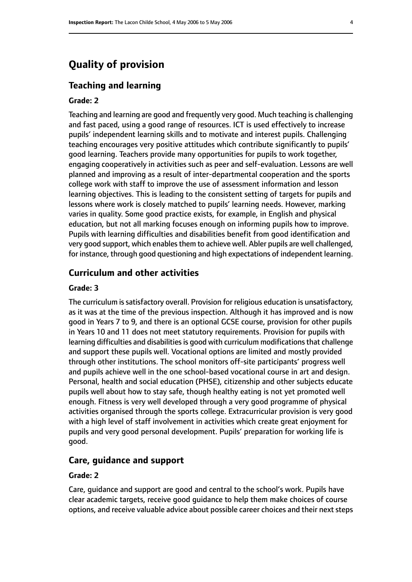# **Quality of provision**

#### **Teaching and learning**

#### **Grade: 2**

Teaching and learning are good and frequently very good. Much teaching is challenging and fast paced, using a good range of resources. ICT is used effectively to increase pupils' independent learning skills and to motivate and interest pupils. Challenging teaching encourages very positive attitudes which contribute significantly to pupils' good learning. Teachers provide many opportunities for pupils to work together, engaging cooperatively in activities such as peer and self-evaluation. Lessons are well planned and improving as a result of inter-departmental cooperation and the sports college work with staff to improve the use of assessment information and lesson learning objectives. This is leading to the consistent setting of targets for pupils and lessons where work is closely matched to pupils' learning needs. However, marking varies in quality. Some good practice exists, for example, in English and physical education, but not all marking focuses enough on informing pupils how to improve. Pupils with learning difficulties and disabilities benefit from good identification and very good support, which enables them to achieve well. Abler pupils are well challenged, for instance, through good questioning and high expectations of independent learning.

#### **Curriculum and other activities**

#### **Grade: 3**

The curriculum is satisfactory overall. Provision for religious education is unsatisfactory, as it was at the time of the previous inspection. Although it has improved and is now good in Years 7 to 9, and there is an optional GCSE course, provision for other pupils in Years 10 and 11 does not meet statutory requirements. Provision for pupils with learning difficulties and disabilities is good with curriculum modifications that challenge and support these pupils well. Vocational options are limited and mostly provided through other institutions. The school monitors off-site participants' progress well and pupils achieve well in the one school-based vocational course in art and design. Personal, health and social education (PHSE), citizenship and other subjects educate pupils well about how to stay safe, though healthy eating is not yet promoted well enough. Fitness is very well developed through a very good programme of physical activities organised through the sports college. Extracurricular provision is very good with a high level of staff involvement in activities which create great enjoyment for pupils and very good personal development. Pupils' preparation for working life is good.

#### **Care, guidance and support**

#### **Grade: 2**

Care, guidance and support are good and central to the school's work. Pupils have clear academic targets, receive good guidance to help them make choices of course options, and receive valuable advice about possible career choices and their next steps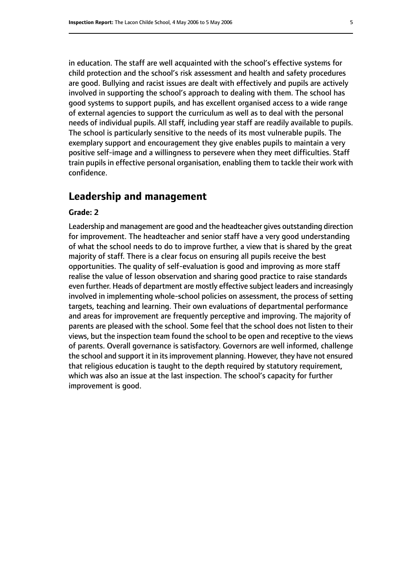in education. The staff are well acquainted with the school's effective systems for child protection and the school's risk assessment and health and safety procedures are good. Bullying and racist issues are dealt with effectively and pupils are actively involved in supporting the school's approach to dealing with them. The school has good systems to support pupils, and has excellent organised access to a wide range of external agencies to support the curriculum as well as to deal with the personal needs of individual pupils. All staff, including year staff are readily available to pupils. The school is particularly sensitive to the needs of its most vulnerable pupils. The exemplary support and encouragement they give enables pupils to maintain a very positive self-image and a willingness to persevere when they meet difficulties. Staff train pupils in effective personal organisation, enabling them to tackle their work with confidence.

#### **Leadership and management**

#### **Grade: 2**

Leadership and management are good and the headteacher gives outstanding direction for improvement. The headteacher and senior staff have a very good understanding of what the school needs to do to improve further, a view that is shared by the great majority of staff. There is a clear focus on ensuring all pupils receive the best opportunities. The quality of self-evaluation is good and improving as more staff realise the value of lesson observation and sharing good practice to raise standards even further. Heads of department are mostly effective subject leaders and increasingly involved in implementing whole-school policies on assessment, the process of setting targets, teaching and learning. Their own evaluations of departmental performance and areas for improvement are frequently perceptive and improving. The majority of parents are pleased with the school. Some feel that the school does not listen to their views, but the inspection team found the school to be open and receptive to the views of parents. Overall governance is satisfactory. Governors are well informed, challenge the school and support it in its improvement planning. However, they have not ensured that religious education is taught to the depth required by statutory requirement, which was also an issue at the last inspection. The school's capacity for further improvement is good.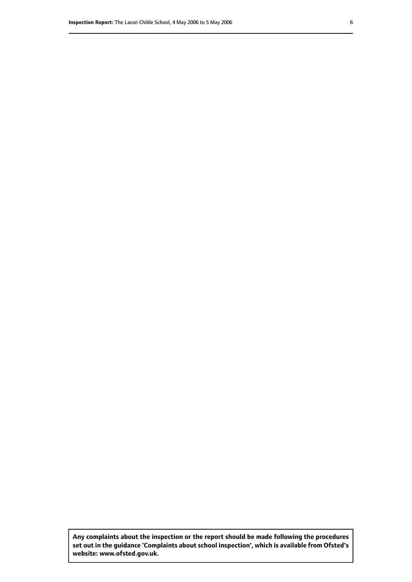**Any complaints about the inspection or the report should be made following the procedures set out inthe guidance 'Complaints about school inspection', whichis available from Ofsted's website: www.ofsted.gov.uk.**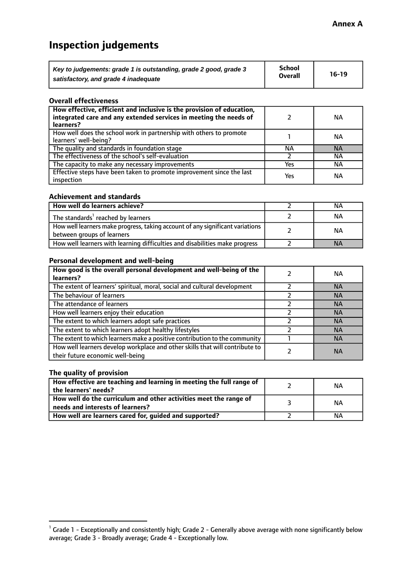# **Inspection judgements**

| Key to judgements: grade 1 is outstanding, grade 2 good, grade 3 | <b>School</b>  | $16-19$ |
|------------------------------------------------------------------|----------------|---------|
| satisfactory, and grade 4 inadequate                             | <b>Overall</b> |         |

#### **Overall effectiveness**

| How effective, efficient and inclusive is the provision of education,<br>integrated care and any extended services in meeting the needs of<br>learners? |     | NА        |
|---------------------------------------------------------------------------------------------------------------------------------------------------------|-----|-----------|
| How well does the school work in partnership with others to promote<br>learners' well-being?                                                            |     | NА        |
| The quality and standards in foundation stage                                                                                                           | ΝA  | <b>NA</b> |
| The effectiveness of the school's self-evaluation                                                                                                       |     | ΝA        |
| The capacity to make any necessary improvements                                                                                                         | Yes | NА        |
| Effective steps have been taken to promote improvement since the last<br>inspection                                                                     | Yes | ΝA        |

#### **Achievement and standards**

| How well do learners achieve?                                                                               | ΝA        |
|-------------------------------------------------------------------------------------------------------------|-----------|
| The standards <sup>1</sup> reached by learners                                                              | NА        |
| How well learners make progress, taking account of any significant variations<br>between groups of learners | <b>NA</b> |
| How well learners with learning difficulties and disabilities make progress                                 | <b>NA</b> |

#### **Personal development and well-being**

| How good is the overall personal development and well-being of the<br>learners?                                  | ΝA        |
|------------------------------------------------------------------------------------------------------------------|-----------|
| The extent of learners' spiritual, moral, social and cultural development                                        | <b>NA</b> |
| The behaviour of learners                                                                                        | <b>NA</b> |
| The attendance of learners                                                                                       | <b>NA</b> |
| How well learners enjoy their education                                                                          | <b>NA</b> |
| The extent to which learners adopt safe practices                                                                | <b>NA</b> |
| The extent to which learners adopt healthy lifestyles                                                            | <b>NA</b> |
| The extent to which learners make a positive contribution to the community                                       | <b>NA</b> |
| How well learners develop workplace and other skills that will contribute to<br>their future economic well-being | <b>NA</b> |

#### **The quality of provision**

| How effective are teaching and learning in meeting the full range of<br>the learners' needs?          | ΝA |
|-------------------------------------------------------------------------------------------------------|----|
| How well do the curriculum and other activities meet the range of<br>needs and interests of learners? | NА |
| How well are learners cared for, guided and supported?                                                | NА |

 $^1$  Grade 1 - Exceptionally and consistently high; Grade 2 - Generally above average with none significantly below average; Grade 3 - Broadly average; Grade 4 - Exceptionally low.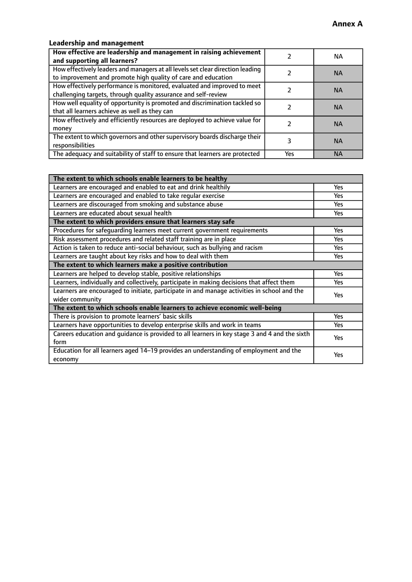#### **Leadership and management**

| How effective are leadership and management in raising achievement<br>and supporting all learners?                                              |     | NА        |
|-------------------------------------------------------------------------------------------------------------------------------------------------|-----|-----------|
| How effectively leaders and managers at all levels set clear direction leading<br>to improvement and promote high quality of care and education |     | <b>NA</b> |
| How effectively performance is monitored, evaluated and improved to meet<br>challenging targets, through quality assurance and self-review      |     | <b>NA</b> |
| How well equality of opportunity is promoted and discrimination tackled so<br>that all learners achieve as well as they can                     |     | <b>NA</b> |
| How effectively and efficiently resources are deployed to achieve value for<br>money                                                            |     | <b>NA</b> |
| The extent to which governors and other supervisory boards discharge their<br>responsibilities                                                  |     | <b>NA</b> |
| The adequacy and suitability of staff to ensure that learners are protected                                                                     | Yes | <b>NA</b> |

| The extent to which schools enable learners to be healthy                                     |            |  |
|-----------------------------------------------------------------------------------------------|------------|--|
| Learners are encouraged and enabled to eat and drink healthily                                | Yes        |  |
| Learners are encouraged and enabled to take regular exercise                                  | Yes        |  |
| Learners are discouraged from smoking and substance abuse                                     | <b>Yes</b> |  |
| Learners are educated about sexual health                                                     | <b>Yes</b> |  |
| The extent to which providers ensure that learners stay safe                                  |            |  |
| Procedures for safequarding learners meet current government requirements                     | Yes        |  |
| Risk assessment procedures and related staff training are in place                            | Yes        |  |
| Action is taken to reduce anti-social behaviour, such as bullying and racism                  | Yes        |  |
| Learners are taught about key risks and how to deal with them                                 | <b>Yes</b> |  |
| The extent to which learners make a positive contribution                                     |            |  |
| Learners are helped to develop stable, positive relationships                                 |            |  |
| Learners, individually and collectively, participate in making decisions that affect them     |            |  |
| Learners are encouraged to initiate, participate in and manage activities in school and the   | <b>Yes</b> |  |
| wider community                                                                               |            |  |
| The extent to which schools enable learners to achieve economic well-being                    |            |  |
| There is provision to promote learners' basic skills                                          | Yes        |  |
| Learners have opportunities to develop enterprise skills and work in teams                    | Yes        |  |
| Careers education and guidance is provided to all learners in key stage 3 and 4 and the sixth | <b>Yes</b> |  |
| form                                                                                          |            |  |
| Education for all learners aged 14-19 provides an understanding of employment and the         | Yes        |  |
| economy                                                                                       |            |  |